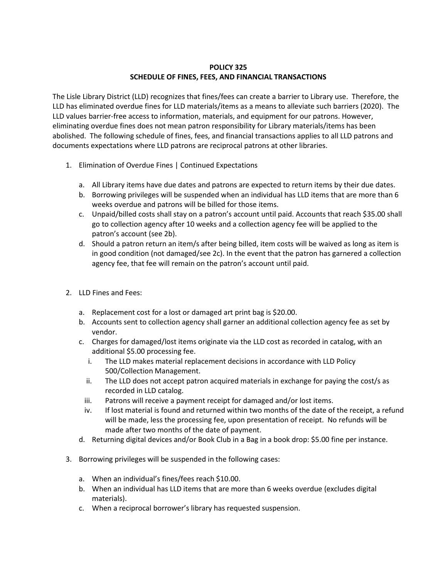## **POLICY 325 SCHEDULE OF FINES, FEES, AND FINANCIAL TRANSACTIONS**

The Lisle Library District (LLD) recognizes that fines/fees can create a barrier to Library use. Therefore, the LLD has eliminated overdue fines for LLD materials/items as a means to alleviate such barriers (2020). The LLD values barrier-free access to information, materials, and equipment for our patrons. However, eliminating overdue fines does not mean patron responsibility for Library materials/items has been abolished. The following schedule of fines, fees, and financial transactions applies to all LLD patrons and documents expectations where LLD patrons are reciprocal patrons at other libraries.

- 1. Elimination of Overdue Fines | Continued Expectations
	- a. All Library items have due dates and patrons are expected to return items by their due dates.
	- b. Borrowing privileges will be suspended when an individual has LLD items that are more than 6 weeks overdue and patrons will be billed for those items.
	- c. Unpaid/billed costs shall stay on a patron's account until paid. Accounts that reach \$35.00 shall go to collection agency after 10 weeks and a collection agency fee will be applied to the patron's account (see 2b).
	- d. Should a patron return an item/s after being billed, item costs will be waived as long as item is in good condition (not damaged/see 2c). In the event that the patron has garnered a collection agency fee, that fee will remain on the patron's account until paid.
- 2. LLD Fines and Fees:
	- a. Replacement cost for a lost or damaged art print bag is \$20.00.
	- b. Accounts sent to collection agency shall garner an additional collection agency fee as set by vendor.
	- c. Charges for damaged/lost items originate via the LLD cost as recorded in catalog, with an additional \$5.00 processing fee.
		- i. The LLD makes material replacement decisions in accordance with LLD Policy 500/Collection Management.
		- ii. The LLD does not accept patron acquired materials in exchange for paying the cost/s as recorded in LLD catalog.
		- iii. Patrons will receive a payment receipt for damaged and/or lost items.
		- iv. If lost material is found and returned within two months of the date of the receipt, a refund will be made, less the processing fee, upon presentation of receipt. No refunds will be made after two months of the date of payment.
	- d. Returning digital devices and/or Book Club in a Bag in a book drop: \$5.00 fine per instance.
- 3. Borrowing privileges will be suspended in the following cases:
	- a. When an individual's fines/fees reach \$10.00.
	- b. When an individual has LLD items that are more than 6 weeks overdue (excludes digital materials).
	- c. When a reciprocal borrower's library has requested suspension.